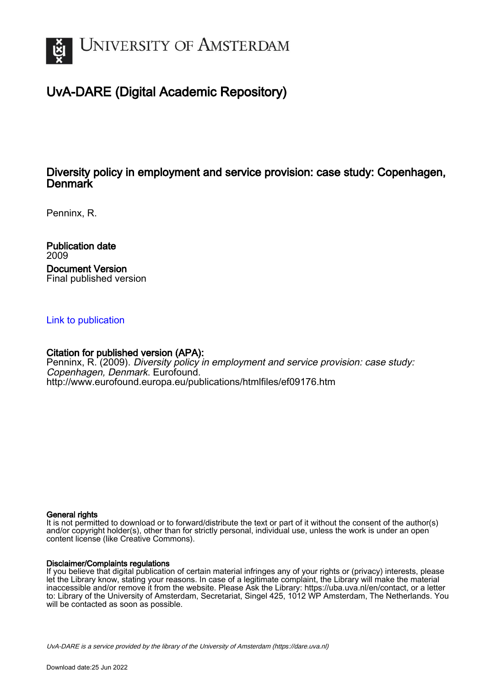

# UvA-DARE (Digital Academic Repository)

# Diversity policy in employment and service provision: case study: Copenhagen, **Denmark**

Penninx, R.

Publication date 2009 Document Version Final published version

## [Link to publication](https://dare.uva.nl/personal/pure/en/publications/diversity-policy-in-employment-and-service-provision-case-study-copenhagen-denmark(c56b2a3f-d687-487b-9355-473e902479be).html)

## Citation for published version (APA):

Penninx, R. (2009). Diversity policy in employment and service provision: case study: Copenhagen, Denmark. Eurofound. <http://www.eurofound.europa.eu/publications/htmlfiles/ef09176.htm>

#### General rights

It is not permitted to download or to forward/distribute the text or part of it without the consent of the author(s) and/or copyright holder(s), other than for strictly personal, individual use, unless the work is under an open content license (like Creative Commons).

#### Disclaimer/Complaints regulations

If you believe that digital publication of certain material infringes any of your rights or (privacy) interests, please let the Library know, stating your reasons. In case of a legitimate complaint, the Library will make the material inaccessible and/or remove it from the website. Please Ask the Library: https://uba.uva.nl/en/contact, or a letter to: Library of the University of Amsterdam, Secretariat, Singel 425, 1012 WP Amsterdam, The Netherlands. You will be contacted as soon as possible.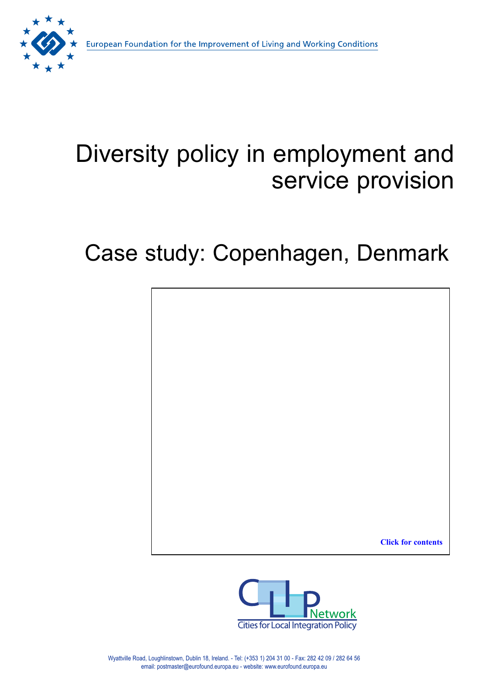

# Diversity policy in employment and service provision

# Case study: Copenhagen, Denmark

**Click for contents**

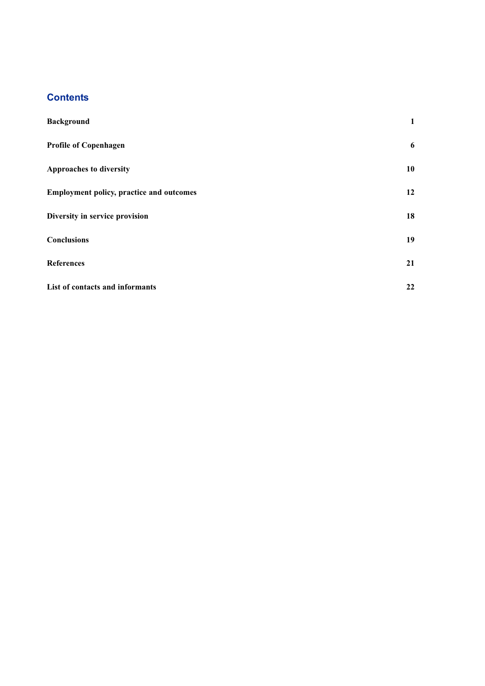# **Contents**

| <b>Background</b>                               | $\mathbf{1}$ |
|-------------------------------------------------|--------------|
| <b>Profile of Copenhagen</b>                    | 6            |
| <b>Approaches to diversity</b>                  | 10           |
| <b>Employment policy, practice and outcomes</b> | 12           |
| Diversity in service provision                  | 18           |
| <b>Conclusions</b>                              | 19           |
| <b>References</b>                               | 21           |
| List of contacts and informants                 | 22           |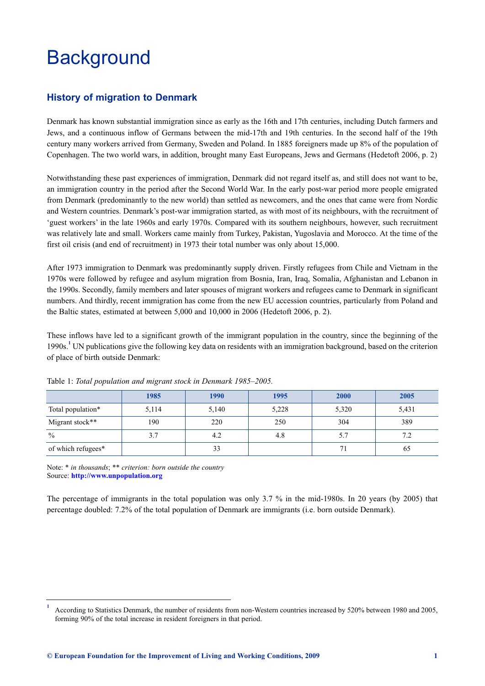# <span id="page-3-0"></span>**Background**

# **History of migration to Denmark**

Denmark has known substantial immigration since as early as the 16th and 17th centuries, including Dutch farmers and Jews, and a continuous inflow of Germans between the mid-17th and 19th centuries. In the second half of the 19th century many workers arrived from Germany, Sweden and Poland. In 1885 foreigners made up 8% of the population of Copenhagen. The two world wars, in addition, brought many East Europeans, Jews and Germans (Hedetoft 2006, p. 2)

Notwithstanding these past experiences of immigration, Denmark did not regard itself as, and still does not want to be, an immigration country in the period after the Second World War. In the early post-war period more people emigrated from Denmark (predominantly to the new world) than settled as newcomers, and the ones that came were from Nordic and Western countries. Denmark's post-war immigration started, as with most of its neighbours, with the recruitment of 'guest workers' in the late 1960s and early 1970s. Compared with its southern neighbours, however, such recruitment was relatively late and small. Workers came mainly from Turkey, Pakistan, Yugoslavia and Morocco. At the time of the first oil crisis (and end of recruitment) in 1973 their total number was only about 15,000.

After 1973 immigration to Denmark was predominantly supply driven. Firstly refugees from Chile and Vietnam in the 1970s were followed by refugee and asylum migration from Bosnia, Iran, Iraq, Somalia, Afghanistan and Lebanon in the 1990s. Secondly, family members and later spouses of migrant workers and refugees came to Denmark in significant numbers. And thirdly, recent immigration has come from the new EU accession countries, particularly from Poland and the Baltic states, estimated at between 5,000 and 10,000 in 2006 (Hedetoft 2006, p. 2).

These inflows have led to a significant growth of the immigrant population in the country, since the beginning of the 1990s.**<sup>1</sup>** UN publications give the following key data on residents with an immigration background, based on the criterion of place of birth outside Denmark:

|                    | 1985  | 1990  | 1995  | 2000  | 2005  |
|--------------------|-------|-------|-------|-------|-------|
| Total population*  | 5,114 | 5,140 | 5,228 | 5,320 | 5,431 |
| Migrant stock**    | 190   | 220   | 250   | 304   | 389   |
| $\frac{0}{0}$      | 3.7   | 4.2   | 4.8   | 5.7   | 7.2   |
| of which refugees* |       | 33    |       | 71    | 65    |

Table 1: *Total population and migrant stock in Denmark 1985–2005.*

Note: \* *in thousands*; \*\* *criterion: born outside the country* Source: **http://www.unpopulation.org**

The percentage of immigrants in the total population was only 3.7 % in the mid-1980s. In 20 years (by 2005) that percent[age doubled: 7.2% of the total](http://www.unpopulation.org) population of Denmark are immigrants (i.e. born outside Denmark).

**<sup>1</sup>** According to Statistics Denmark, the number of residents from non-Western countries increased by 520% between 1980 and 2005, forming 90% of the total increase in resident foreigners in that period.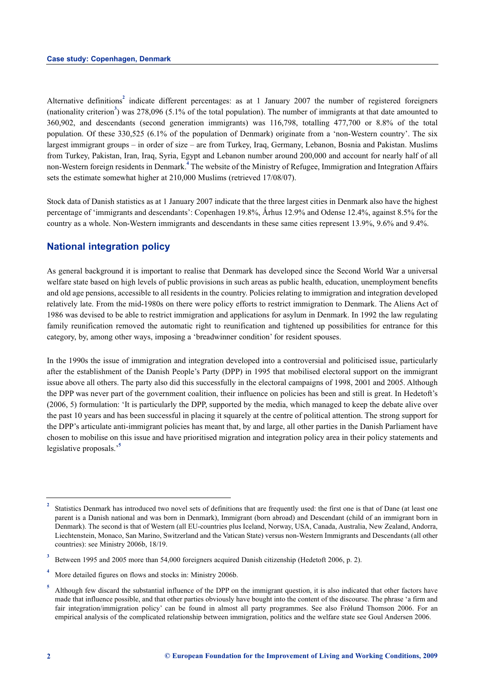Alternative definitions<sup>2</sup> indicate different percentages: as at 1 January 2007 the number of registered foreigners (nationality criterion<sup>3</sup>) was 278,096 (5.1% of the total population). The number of immigrants at that date amounted to 360,902, and descendants (second generation immigrants) was 116,798, totalling 477,700 or 8.8% of the total population. Of these 330,525 (6.1% of the population of Denmark) originate from a 'non-Western country'. The six largest immigrant groups – in order of size – are from Turkey, Iraq, Germany, Lebanon, Bosnia and Pakistan. Muslims from Turkey, Pakistan, Iran, Iraq, Syria, Egypt and Lebanon number around 200,000 and account for nearly half of all non-Western foreign residents in Denmark.**<sup>4</sup>** The website of the Ministry of Refugee, Immigration and Integration Affairs sets the estimate somewhat higher at 210,000 Muslims (retrieved 17/08/07).

Stock data of Danish statistics as at 1 January 2007 indicate that the three largest cities in Denmark also have the highest percentage of 'immigrants and descendants': Copenhagen 19.8%, Århus 12.9% and Odense 12.4%, against 8.5% for the country as a whole. Non-Western immigrants and descendants in these same cities represent 13.9%, 9.6% and 9.4%.

## **National integration policy**

As general background it is important to realise that Denmark has developed since the Second World War a universal welfare state based on high levels of public provisions in such areas as public health, education, unemployment benefits and old age pensions, accessible to all residents in the country. Policies relating to immigration and integration developed relatively late. From the mid-1980s on there were policy efforts to restrict immigration to Denmark. The Aliens Act of 1986 was devised to be able to restrict immigration and applications for asylum in Denmark. In 1992 the law regulating family reunification removed the automatic right to reunification and tightened up possibilities for entrance for this category, by, among other ways, imposing a 'breadwinner condition' for resident spouses.

In the 1990s the issue of immigration and integration developed into a controversial and politicised issue, particularly after the establishment of the Danish People's Party (DPP) in 1995 that mobilised electoral support on the immigrant issue above all others. The party also did this successfully in the electoral campaigns of 1998, 2001 and 2005. Although the DPP was never part of the government coalition, their influence on policies has been and still is great. In Hedetoft's (2006, 5) formulation: 'It is particularly the DPP, supported by the media, which managed to keep the debate alive over the past 10 years and has been successful in placing it squarely at the centre of political attention. The strong support for the DPP's articulate anti-immigrant policies has meant that, by and large, all other parties in the Danish Parliament have chosen to mobilise on this issue and have prioritised migration and integration policy area in their policy statements and legislative proposals.'**<sup>5</sup>**

**<sup>2</sup>** Statistics Denmark has introduced two novel sets of definitions that are frequently used: the first one is that of Dane (at least one parent is a Danish national and was born in Denmark), Immigrant (born abroad) and Descendant (child of an immigrant born in Denmark). The second is that of Western (all EU-countries plus Iceland, Norway, USA, Canada, Australia, New Zealand, Andorra, Liechtenstein, Monaco, San Marino, Switzerland and the Vatican State) versus non-Western Immigrants and Descendants (all other countries): see Ministry 2006b, 18/19.

**<sup>3</sup>** Between 1995 and 2005 more than 54,000 foreigners acquired Danish citizenship (Hedetoft 2006, p. 2).

**<sup>4</sup>** More detailed figures on flows and stocks in: Ministry 2006b.

**<sup>5</sup>** Although few discard the substantial influence of the DPP on the immigrant question, it is also indicated that other factors have made that influence possible, and that other parties obviously have bought into the content of the discourse. The phrase 'a firm and fair integration/immigration policy' can be found in almost all party programmes. See also Frølund Thomson 2006. For an empirical analysis of the complicated relationship between immigration, politics and the welfare state see Goul Andersen 2006.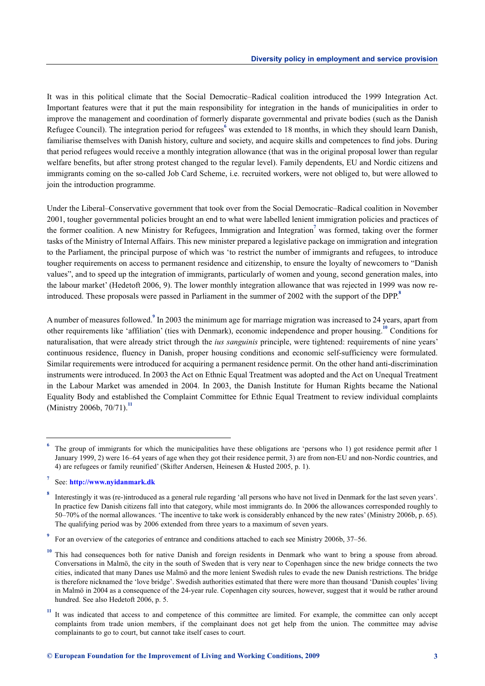It was in this political climate that the Social Democratic–Radical coalition introduced the 1999 Integration Act. Important features were that it put the main responsibility for integration in the hands of municipalities in order to improve the management and coordination of formerly disparate governmental and private bodies (such as the Danish Refugee Council). The integration period for refugees<sup>6</sup> was extended to 18 months, in which they should learn Danish, familiarise themselves with Danish history, culture and society, and acquire skills and competences to find jobs. During that period refugees would receive a monthly integration allowance (that was in the original proposal lower than regular welfare benefits, but after strong protest changed to the regular level). Family dependents, EU and Nordic citizens and immigrants coming on the so-called Job Card Scheme, i.e. recruited workers, were not obliged to, but were allowed to join the introduction programme.

Under the Liberal–Conservative government that took over from the Social Democratic–Radical coalition in November 2001, tougher governmental policies brought an end to what were labelled lenient immigration policies and practices of the former coalition. A new Ministry for Refugees, Immigration and Integration**<sup>7</sup>** was formed, taking over the former tasks of the Ministry of Internal Affairs. This new minister prepared a legislative package on immigration and integration to the Parliament, the principal purpose of which was 'to restrict the number of immigrants and refugees, to introduce tougher requirements on access to permanent residence and citizenship, to ensure the loyalty of newcomers to "Danish values", and to speed up the integration of immigrants, particularly of women and young, second generation males, into the labour market' (Hedetoft 2006, 9). The lower monthly integration allowance that was rejected in 1999 was now reintroduced. These proposals were passed in Parliament in the summer of 2002 with the support of the DPP.**<sup>8</sup>**

A number of measures followed.**<sup>9</sup>** In 2003 the minimum age for marriage migration was increased to 24 years, apart from other requirements like 'affiliation' (ties with Denmark), economic independence and proper housing.**<sup>10</sup>** Conditions for naturalisation, that were already strict through the *ius sanguinis* principle, were tightened: requirements of nine years' continuous residence, fluency in Danish, proper housing conditions and economic self-sufficiency were formulated. Similar requirements were introduced for acquiring a permanent residence permit. On the other hand anti-discrimination instruments were introduced. In 2003 the Act on Ethnic Equal Treatment was adopted and the Act on Unequal Treatment in the Labour Market was amended in 2004. In 2003, the Danish Institute for Human Rights became the National Equality Body and established the Complaint Committee for Ethnic Equal Treatment to review individual complaints (Ministry 2006b, 70/71).**<sup>11</sup>**

The group of immigrants for which the municipalities have these obligations are 'persons who 1) got residence permit after 1 January 1999, 2) were 16–64 years of age when they got their residence permit, 3) are from non-EU and non-Nordic countries, and 4) are refugees or family reunified' (Skifter Andersen, Heinesen & Husted 2005, p. 1).

**<sup>7</sup>** See: **http://www.nyidanmark.dk**

**<sup>8</sup>** Interestingly it was (re-)introduced as a general rule regarding 'all persons who have not lived in Denmark for the last seven years'. In practice few Danish citizens fall into that category, while most immigrants do. In 2006 the allowances corresponded roughly to 50–70% of the normal allowances. 'The incentive to take work is considerably enhanced by the new rates' (Ministry 2006b, p. 65). The [qualifying period was by 2006 e](http://www.nyidanmark.dk)xtended from three years to a maximum of seven years.

**<sup>9</sup>** For an overview of the categories of entrance and conditions attached to each see Ministry 2006b, 37–56.

**<sup>10</sup>** This had consequences both for native Danish and foreign residents in Denmark who want to bring a spouse from abroad. Conversations in Malmö, the city in the south of Sweden that is very near to Copenhagen since the new bridge connects the two cities, indicated that many Danes use Malmö and the more lenient Swedish rules to evade the new Danish restrictions. The bridge is therefore nicknamed the 'love bridge'. Swedish authorities estimated that there were more than thousand 'Danish couples' living in Malmö in 2004 as a consequence of the 24-year rule. Copenhagen city sources, however, suggest that it would be rather around hundred. See also Hedetoft 2006, p. 5.

<sup>&</sup>lt;sup>11</sup> It was indicated that access to and competence of this committee are limited. For example, the committee can only accept complaints from trade union members, if the complainant does not get help from the union. The committee may advise complainants to go to court, but cannot take itself cases to court.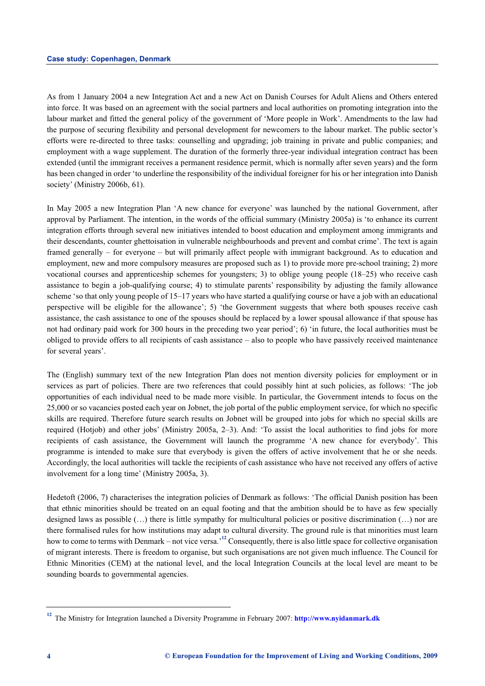As from 1 January 2004 a new Integration Act and a new Act on Danish Courses for Adult Aliens and Others entered into force. It was based on an agreement with the social partners and local authorities on promoting integration into the labour market and fitted the general policy of the government of 'More people in Work'. Amendments to the law had the purpose of securing flexibility and personal development for newcomers to the labour market. The public sector's efforts were re-directed to three tasks: counselling and upgrading; job training in private and public companies; and employment with a wage supplement. The duration of the formerly three-year individual integration contract has been extended (until the immigrant receives a permanent residence permit, which is normally after seven years) and the form has been changed in order 'to underline the responsibility of the individual foreigner for his or her integration into Danish society' (Ministry 2006b, 61).

In May 2005 a new Integration Plan 'A new chance for everyone' was launched by the national Government, after approval by Parliament. The intention, in the words of the official summary (Ministry 2005a) is 'to enhance its current integration efforts through several new initiatives intended to boost education and employment among immigrants and their descendants, counter ghettoisation in vulnerable neighbourhoods and prevent and combat crime'. The text is again framed generally – for everyone – but will primarily affect people with immigrant background. As to education and employment, new and more compulsory measures are proposed such as 1) to provide more pre-school training; 2) more vocational courses and apprenticeship schemes for youngsters; 3) to oblige young people (18–25) who receive cash assistance to begin a job-qualifying course; 4) to stimulate parents' responsibility by adjusting the family allowance scheme 'so that only young people of 15–17 years who have started a qualifying course or have a job with an educational perspective will be eligible for the allowance'; 5) 'the Government suggests that where both spouses receive cash assistance, the cash assistance to one of the spouses should be replaced by a lower spousal allowance if that spouse has not had ordinary paid work for 300 hours in the preceding two year period'; 6) 'in future, the local authorities must be obliged to provide offers to all recipients of cash assistance – also to people who have passively received maintenance for several years'.

The (English) summary text of the new Integration Plan does not mention diversity policies for employment or in services as part of policies. There are two references that could possibly hint at such policies, as follows: 'The job opportunities of each individual need to be made more visible. In particular, the Government intends to focus on the 25,000 or so vacancies posted each year on Jobnet, the job portal of the public employment service, for which no specific skills are required. Therefore future search results on Jobnet will be grouped into jobs for which no special skills are required (Hotjob) and other jobs' (Ministry 2005a, 2–3). And: 'To assist the local authorities to find jobs for more recipients of cash assistance, the Government will launch the programme 'A new chance for everybody'. This programme is intended to make sure that everybody is given the offers of active involvement that he or she needs. Accordingly, the local authorities will tackle the recipients of cash assistance who have not received any offers of active involvement for a long time' (Ministry 2005a, 3).

Hedetoft (2006, 7) characterises the integration policies of Denmark as follows: 'The official Danish position has been that ethnic minorities should be treated on an equal footing and that the ambition should be to have as few specially designed laws as possible (…) there is little sympathy for multicultural policies or positive discrimination (…) nor are there formalised rules for how institutions may adapt to cultural diversity. The ground rule is that minorities must learn how to come to terms with Denmark – not vice versa.<sup>12</sup> Consequently, there is also little space for collective organisation of migrant interests. There is freedom to organise, but such organisations are not given much influence. The Council for Ethnic Minorities (CEM) at the national level, and the local Integration Councils at the local level are meant to be sounding boards to governmental agencies.

**<sup>12</sup>** The Ministry for Integration launched a Diversity Programme in February 2007: **http://www.nyidanmark.dk**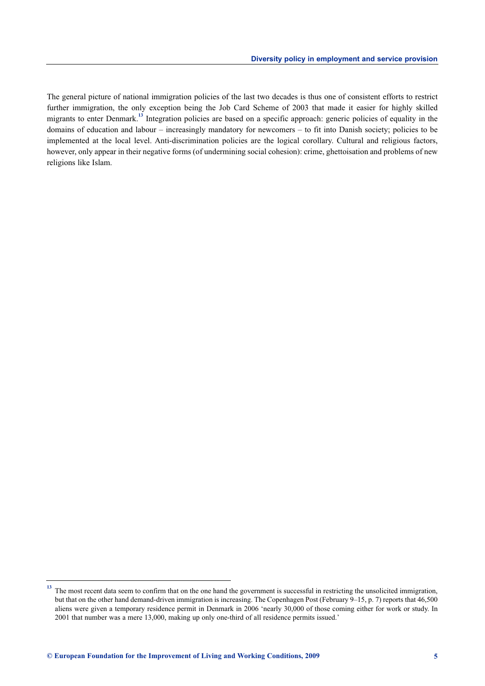The general picture of national immigration policies of the last two decades is thus one of consistent efforts to restrict further immigration, the only exception being the Job Card Scheme of 2003 that made it easier for highly skilled migrants to enter Denmark.**<sup>13</sup>** Integration policies are based on a specific approach: generic policies of equality in the domains of education and labour – increasingly mandatory for newcomers – to fit into Danish society; policies to be implemented at the local level. Anti-discrimination policies are the logical corollary. Cultural and religious factors, however, only appear in their negative forms (of undermining social cohesion): crime, ghettoisation and problems of new religions like Islam.

<sup>&</sup>lt;sup>13</sup> The most recent data seem to confirm that on the one hand the government is successful in restricting the unsolicited immigration, but that on the other hand demand-driven immigration is increasing. The Copenhagen Post (February 9–15, p. 7) reports that 46,500 aliens were given a temporary residence permit in Denmark in 2006 'nearly 30,000 of those coming either for work or study. In 2001 that number was a mere 13,000, making up only one-third of all residence permits issued.'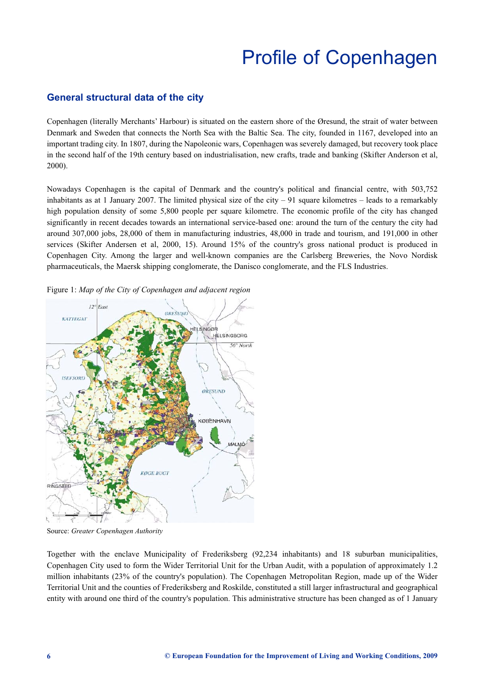# Profile of Copenhagen

### <span id="page-8-0"></span>**General structural data of the city**

Copenhagen (literally Merchants' Harbour) is situated on the eastern shore of the Øresund, the strait of water between Denmark and Sweden that connects the North Sea with the Baltic Sea. The city, founded in 1167, developed into an important trading city. In 1807, during the Napoleonic wars, Copenhagen was severely damaged, but recovery took place in the second half of the 19th century based on industrialisation, new crafts, trade and banking (Skifter Anderson et al, 2000).

Nowadays Copenhagen is the capital of Denmark and the country's political and financial centre, with 503,752 inhabitants as at 1 January 2007. The limited physical size of the city – 91 square kilometres – leads to a remarkably high population density of some 5,800 people per square kilometre. The economic profile of the city has changed significantly in recent decades towards an international service-based one: around the turn of the century the city had around 307,000 jobs, 28,000 of them in manufacturing industries, 48,000 in trade and tourism, and 191,000 in other services (Skifter Andersen et al, 2000, 15). Around 15% of the country's gross national product is produced in Copenhagen City. Among the larger and well-known companies are the Carlsberg Breweries, the Novo Nordisk pharmaceuticals, the Maersk shipping conglomerate, the Danisco conglomerate, and the FLS Industries.



Figure 1: *Map of the City of Copenhagen and adjacent region*

Source: *Greater Copenhagen Authority*

Together with the enclave Municipality of Frederiksberg (92,234 inhabitants) and 18 suburban municipalities, Copenhagen City used to form the Wider Territorial Unit for the Urban Audit, with a population of approximately 1.2 million inhabitants (23% of the country's population). The Copenhagen Metropolitan Region, made up of the Wider Territorial Unit and the counties of Frederiksberg and Roskilde, constituted a still larger infrastructural and geographical entity with around one third of the country's population. This administrative structure has been changed as of 1 January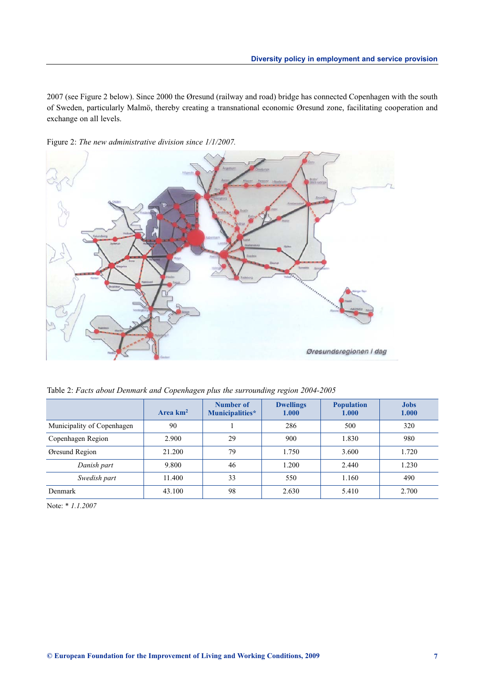2007 (see Figure 2 below). Since 2000 the Øresund (railway and road) bridge has connected Copenhagen with the south of Sweden, particularly Malmö, thereby creating a transnational economic Øresund zone, facilitating cooperation and exchange on all levels.



Figure 2: *The new administrative division since 1/1/2007.* 

| Table 2: Facts about Denmark and Copenhagen plus the surrounding region 2004-2005 |  |  |  |
|-----------------------------------------------------------------------------------|--|--|--|
|-----------------------------------------------------------------------------------|--|--|--|

|                            | Area $km2$ | Number of<br>Municipalities* | <b>Dwellings</b><br>1.000 | <b>Population</b><br>1.000 | <b>Jobs</b><br>1.000 |
|----------------------------|------------|------------------------------|---------------------------|----------------------------|----------------------|
| Municipality of Copenhagen | 90         |                              | 286                       | 500                        | 320                  |
| Copenhagen Region          | 2.900      | 29                           | 900                       | 1.830                      | 980                  |
| Øresund Region             | 21.200     | 79                           | 1.750                     | 3.600                      | 1.720                |
| Danish part                | 9.800      | 46                           | 1.200                     | 2.440                      | 1.230                |
| Swedish part               | 11.400     | 33                           | 550                       | 1.160                      | 490                  |
| <b>Denmark</b>             | 43.100     | 98                           | 2.630                     | 5.410                      | 2.700                |

Note: \* *1.1.2007*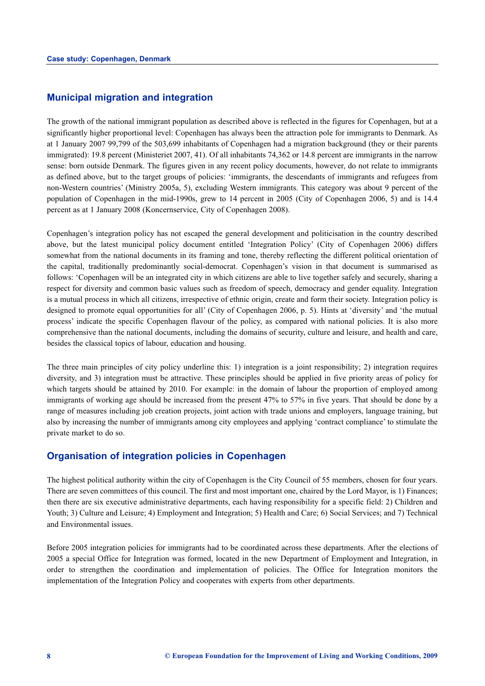### **Municipal migration and integration**

The growth of the national immigrant population as described above is reflected in the figures for Copenhagen, but at a significantly higher proportional level: Copenhagen has always been the attraction pole for immigrants to Denmark. As at 1 January 2007 99,799 of the 503,699 inhabitants of Copenhagen had a migration background (they or their parents immigrated): 19.8 percent (Ministeriet 2007, 41). Of all inhabitants 74,362 or 14.8 percent are immigrants in the narrow sense: born outside Denmark. The figures given in any recent policy documents, however, do not relate to immigrants as defined above, but to the target groups of policies: 'immigrants, the descendants of immigrants and refugees from non-Western countries' (Ministry 2005a, 5), excluding Western immigrants. This category was about 9 percent of the population of Copenhagen in the mid-1990s, grew to 14 percent in 2005 (City of Copenhagen 2006, 5) and is 14.4 percent as at 1 January 2008 (Koncernservice, City of Copenhagen 2008).

Copenhagen's integration policy has not escaped the general development and politicisation in the country described above, but the latest municipal policy document entitled 'Integration Policy' (City of Copenhagen 2006) differs somewhat from the national documents in its framing and tone, thereby reflecting the different political orientation of the capital, traditionally predominantly social-democrat. Copenhagen's vision in that document is summarised as follows: 'Copenhagen will be an integrated city in which citizens are able to live together safely and securely, sharing a respect for diversity and common basic values such as freedom of speech, democracy and gender equality. Integration is a mutual process in which all citizens, irrespective of ethnic origin, create and form their society. Integration policy is designed to promote equal opportunities for all' (City of Copenhagen 2006, p. 5). Hints at 'diversity' and 'the mutual process' indicate the specific Copenhagen flavour of the policy, as compared with national policies. It is also more comprehensive than the national documents, including the domains of security, culture and leisure, and health and care, besides the classical topics of labour, education and housing.

The three main principles of city policy underline this: 1) integration is a joint responsibility; 2) integration requires diversity, and 3) integration must be attractive. These principles should be applied in five priority areas of policy for which targets should be attained by 2010. For example: in the domain of labour the proportion of employed among immigrants of working age should be increased from the present 47% to 57% in five years. That should be done by a range of measures including job creation projects, joint action with trade unions and employers, language training, but also by increasing the number of immigrants among city employees and applying 'contract compliance' to stimulate the private market to do so.

#### **Organisation of integration policies in Copenhagen**

The highest political authority within the city of Copenhagen is the City Council of 55 members, chosen for four years. There are seven committees of this council. The first and most important one, chaired by the Lord Mayor, is 1) Finances; then there are six executive administrative departments, each having responsibility for a specific field: 2) Children and Youth; 3) Culture and Leisure; 4) Employment and Integration; 5) Health and Care; 6) Social Services; and 7) Technical and Environmental issues.

Before 2005 integration policies for immigrants had to be coordinated across these departments. After the elections of 2005 a special Office for Integration was formed, located in the new Department of Employment and Integration, in order to strengthen the coordination and implementation of policies. The Office for Integration monitors the implementation of the Integration Policy and cooperates with experts from other departments.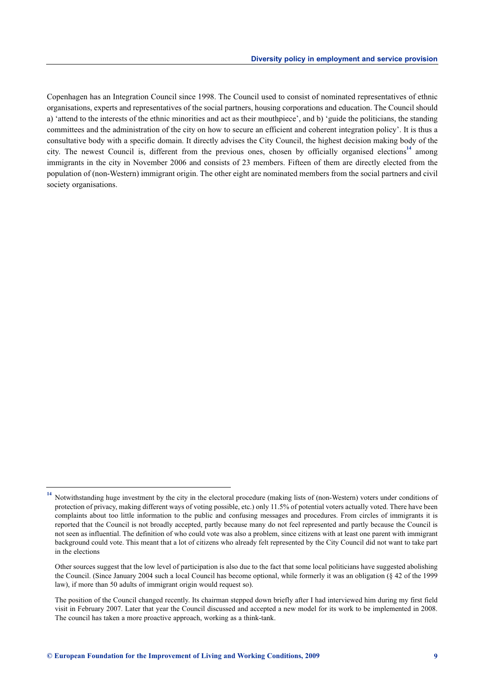Copenhagen has an Integration Council since 1998. The Council used to consist of nominated representatives of ethnic organisations, experts and representatives of the social partners, housing corporations and education. The Council should a) 'attend to the interests of the ethnic minorities and act as their mouthpiece', and b) 'guide the politicians, the standing committees and the administration of the city on how to secure an efficient and coherent integration policy'. It is thus a consultative body with a specific domain. It directly advises the City Council, the highest decision making body of the city. The newest Council is, different from the previous ones, chosen by officially organised elections<sup>14</sup> among immigrants in the city in November 2006 and consists of 23 members. Fifteen of them are directly elected from the population of (non-Western) immigrant origin. The other eight are nominated members from the social partners and civil society organisations.

**<sup>14</sup>** Notwithstanding huge investment by the city in the electoral procedure (making lists of (non-Western) voters under conditions of protection of privacy, making different ways of voting possible, etc.) only 11.5% of potential voters actually voted. There have been complaints about too little information to the public and confusing messages and procedures. From circles of immigrants it is reported that the Council is not broadly accepted, partly because many do not feel represented and partly because the Council is not seen as influential. The definition of who could vote was also a problem, since citizens with at least one parent with immigrant background could vote. This meant that a lot of citizens who already felt represented by the City Council did not want to take part in the elections

Other sources suggest that the low level of participation is also due to the fact that some local politicians have suggested abolishing the Council. (Since January 2004 such a local Council has become optional, while formerly it was an obligation (§ 42 of the 1999 law), if more than 50 adults of immigrant origin would request so).

The position of the Council changed recently. Its chairman stepped down briefly after I had interviewed him during my first field visit in February 2007. Later that year the Council discussed and accepted a new model for its work to be implemented in 2008. The council has taken a more proactive approach, working as a think-tank.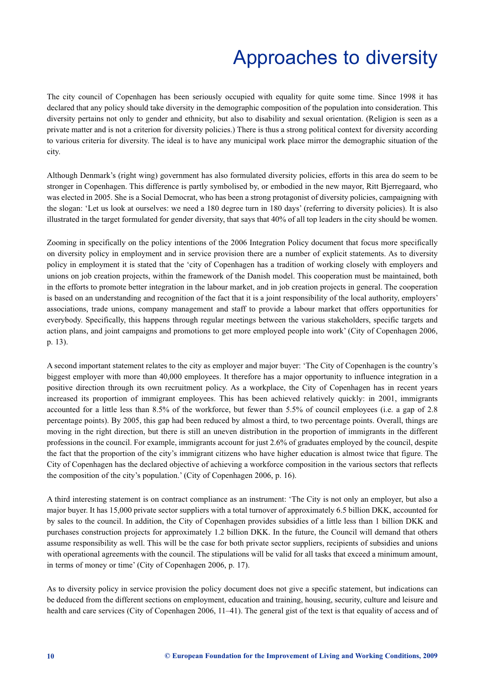# Approaches to diversity

<span id="page-12-0"></span>The city council of Copenhagen has been seriously occupied with equality for quite some time. Since 1998 it has declared that any policy should take diversity in the demographic composition of the population into consideration. This diversity pertains not only to gender and ethnicity, but also to disability and sexual orientation. (Religion is seen as a private matter and is not a criterion for diversity policies.) There is thus a strong political context for diversity according to various criteria for diversity. The ideal is to have any municipal work place mirror the demographic situation of the city.

Although Denmark's (right wing) government has also formulated diversity policies, efforts in this area do seem to be stronger in Copenhagen. This difference is partly symbolised by, or embodied in the new mayor, Ritt Bjerregaard, who was elected in 2005. She is a Social Democrat, who has been a strong protagonist of diversity policies, campaigning with the slogan: 'Let us look at ourselves: we need a 180 degree turn in 180 days' (referring to diversity policies). It is also illustrated in the target formulated for gender diversity, that says that 40% of all top leaders in the city should be women.

Zooming in specifically on the policy intentions of the 2006 Integration Policy document that focus more specifically on diversity policy in employment and in service provision there are a number of explicit statements. As to diversity policy in employment it is stated that the 'city of Copenhagen has a tradition of working closely with employers and unions on job creation projects, within the framework of the Danish model. This cooperation must be maintained, both in the efforts to promote better integration in the labour market, and in job creation projects in general. The cooperation is based on an understanding and recognition of the fact that it is a joint responsibility of the local authority, employers' associations, trade unions, company management and staff to provide a labour market that offers opportunities for everybody. Specifically, this happens through regular meetings between the various stakeholders, specific targets and action plans, and joint campaigns and promotions to get more employed people into work' (City of Copenhagen 2006, p. 13).

A second important statement relates to the city as employer and major buyer: 'The City of Copenhagen is the country's biggest employer with more than 40,000 employees. It therefore has a major opportunity to influence integration in a positive direction through its own recruitment policy. As a workplace, the City of Copenhagen has in recent years increased its proportion of immigrant employees. This has been achieved relatively quickly: in 2001, immigrants accounted for a little less than 8.5% of the workforce, but fewer than 5.5% of council employees (i.e. a gap of 2.8 percentage points). By 2005, this gap had been reduced by almost a third, to two percentage points. Overall, things are moving in the right direction, but there is still an uneven distribution in the proportion of immigrants in the different professions in the council. For example, immigrants account for just 2.6% of graduates employed by the council, despite the fact that the proportion of the city's immigrant citizens who have higher education is almost twice that figure. The City of Copenhagen has the declared objective of achieving a workforce composition in the various sectors that reflects the composition of the city's population.' (City of Copenhagen 2006, p. 16).

A third interesting statement is on contract compliance as an instrument: 'The City is not only an employer, but also a major buyer. It has 15,000 private sector suppliers with a total turnover of approximately 6.5 billion DKK, accounted for by sales to the council. In addition, the City of Copenhagen provides subsidies of a little less than 1 billion DKK and purchases construction projects for approximately 1.2 billion DKK. In the future, the Council will demand that others assume responsibility as well. This will be the case for both private sector suppliers, recipients of subsidies and unions with operational agreements with the council. The stipulations will be valid for all tasks that exceed a minimum amount, in terms of money or time' (City of Copenhagen 2006, p. 17).

As to diversity policy in service provision the policy document does not give a specific statement, but indications can be deduced from the different sections on employment, education and training, housing, security, culture and leisure and health and care services (City of Copenhagen 2006, 11–41). The general gist of the text is that equality of access and of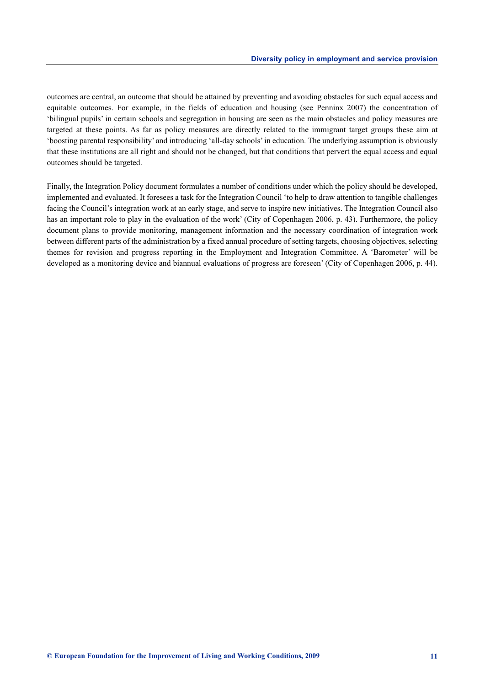outcomes are central, an outcome that should be attained by preventing and avoiding obstacles for such equal access and equitable outcomes. For example, in the fields of education and housing (see Penninx 2007) the concentration of 'bilingual pupils' in certain schools and segregation in housing are seen as the main obstacles and policy measures are targeted at these points. As far as policy measures are directly related to the immigrant target groups these aim at 'boosting parental responsibility' and introducing 'all-day schools' in education. The underlying assumption is obviously that these institutions are all right and should not be changed, but that conditions that pervert the equal access and equal outcomes should be targeted.

Finally, the Integration Policy document formulates a number of conditions under which the policy should be developed, implemented and evaluated. It foresees a task for the Integration Council 'to help to draw attention to tangible challenges facing the Council's integration work at an early stage, and serve to inspire new initiatives. The Integration Council also has an important role to play in the evaluation of the work' (City of Copenhagen 2006, p. 43). Furthermore, the policy document plans to provide monitoring, management information and the necessary coordination of integration work between different parts of the administration by a fixed annual procedure of setting targets, choosing objectives, selecting themes for revision and progress reporting in the Employment and Integration Committee. A 'Barometer' will be developed as a monitoring device and biannual evaluations of progress are foreseen' (City of Copenhagen 2006, p. 44).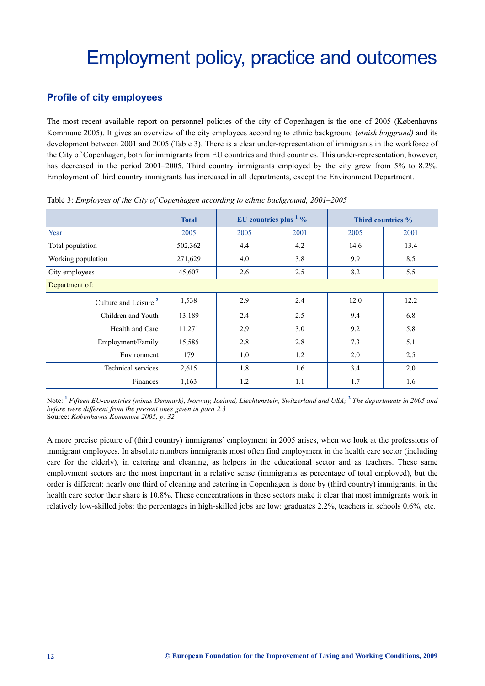# <span id="page-14-0"></span>Employment policy, practice and outcomes

# **Profile of city employees**

The most recent available report on personnel policies of the city of Copenhagen is the one of 2005 (Københavns Kommune 2005). It gives an overview of the city employees according to ethnic background (*etnisk baggrund)* and its development between 2001 and 2005 (Table 3). There is a clear under-representation of immigrants in the workforce of the City of Copenhagen, both for immigrants from EU countries and third countries. This under-representation, however, has decreased in the period 2001–2005. Third country immigrants employed by the city grew from 5% to 8.2%. Employment of third country immigrants has increased in all departments, except the Environment Department.

|                                  | <b>Total</b> | EU countries plus $\frac{1}{2}$ % |      | Third countries % |      |  |
|----------------------------------|--------------|-----------------------------------|------|-------------------|------|--|
| Year                             | 2005         | 2005                              | 2001 | 2005              | 2001 |  |
| Total population                 | 502,362      | 4.4                               | 4.2  | 14.6              | 13.4 |  |
| Working population               | 271,629      | 4.0                               | 3.8  | 9.9               | 8.5  |  |
| City employees                   | 45,607       | 2.6                               | 2.5  | 8.2               | 5.5  |  |
| Department of:                   |              |                                   |      |                   |      |  |
| Culture and Leisure <sup>2</sup> | 1,538        | 2.9                               | 2.4  | 12.0              | 12.2 |  |
| Children and Youth               | 13,189       | 2.4                               | 2.5  | 9.4               | 6.8  |  |
| Health and Care                  | 11,271       | 2.9                               | 3.0  | 9.2               | 5.8  |  |
| Employment/Family                | 15,585       | 2.8                               | 2.8  | 7.3               | 5.1  |  |
| Environment                      | 179          | 1.0                               | 1.2  | 2.0               | 2.5  |  |
| Technical services               | 2,615        | 1.8                               | 1.6  | 3.4               | 2.0  |  |
| Finances                         | 1,163        | 1.2                               | 1.1  | 1.7               | 1.6  |  |

Table 3: *Employees of the City of Copenhagen according to ethnic background, 2001–2005*

Note: **<sup>1</sup>** *Fifteen EU-countries (minus Denmark), Norway, Iceland, Liechtenstein, Switzerland and USA;* **<sup>2</sup>** *The departments in 2005 and before were different from the present ones given in para 2.3* Source: *Københavns Kommune 2005, p. 32*

A more precise picture of (third country) immigrants' employment in 2005 arises, when we look at the professions of immigrant employees. In absolute numbers immigrants most often find employment in the health care sector (including care for the elderly), in catering and cleaning, as helpers in the educational sector and as teachers. These same employment sectors are the most important in a relative sense (immigrants as percentage of total employed), but the order is different: nearly one third of cleaning and catering in Copenhagen is done by (third country) immigrants; in the health care sector their share is 10.8%. These concentrations in these sectors make it clear that most immigrants work in relatively low-skilled jobs: the percentages in high-skilled jobs are low: graduates 2.2%, teachers in schools 0.6%, etc.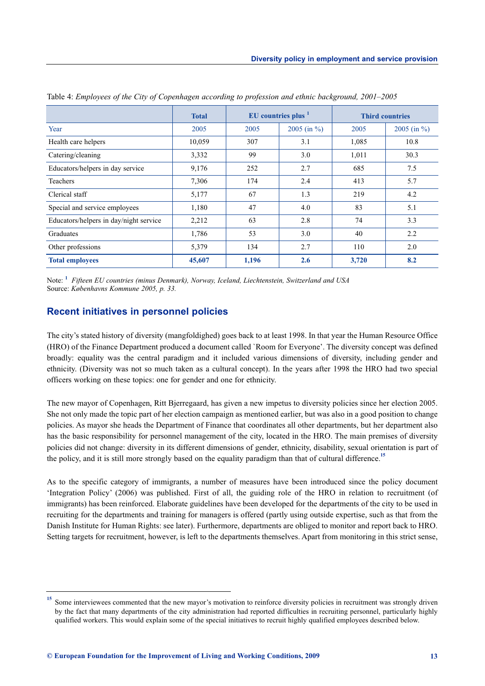|                                        | <b>Total</b> | EU countries plus <sup>1</sup> |                 | <b>Third countries</b> |                 |
|----------------------------------------|--------------|--------------------------------|-----------------|------------------------|-----------------|
| Year                                   | 2005         | 2005                           | 2005 (in $\%$ ) | 2005                   | 2005 (in $\%$ ) |
| Health care helpers                    | 10,059       | 307                            | 3.1             | 1,085                  | 10.8            |
| Catering/cleaning                      | 3,332        | 99                             | 3.0             | 1,011                  | 30.3            |
| Educators/helpers in day service       | 9,176        | 252                            | 2.7             | 685                    | 7.5             |
| Teachers                               | 7,306        | 174                            | 2.4             | 413                    | 5.7             |
| Clerical staff                         | 5,177        | 67                             | 1.3             | 219                    | 4.2             |
| Special and service employees          | 1,180        | 47                             | 4.0             | 83                     | 5.1             |
| Educators/helpers in day/night service | 2,212        | 63                             | 2.8             | 74                     | 3.3             |
| Graduates                              | 1,786        | 53                             | 3.0             | 40                     | 2.2             |
| Other professions                      | 5,379        | 134                            | 2.7             | 110                    | 2.0             |
| <b>Total employees</b>                 | 45,607       | 1,196                          | 2.6             | 3,720                  | 8.2             |

Table 4: *Employees of the City of Copenhagen according to profession and ethnic background, 2001–2005*

Note: **<sup>1</sup>** *Fifteen EU countries (minus Denmark), Norway, Iceland, Liechtenstein, Switzerland and USA* Source: *Københavns Kommune 2005, p. 33.*

#### **Recent initiatives in personnel policies**

The city's stated history of diversity (mangfoldighed) goes back to at least 1998. In that year the Human Resource Office (HRO) of the Finance Department produced a document called `Room for Everyone'. The diversity concept was defined broadly: equality was the central paradigm and it included various dimensions of diversity, including gender and ethnicity. (Diversity was not so much taken as a cultural concept). In the years after 1998 the HRO had two special officers working on these topics: one for gender and one for ethnicity.

The new mayor of Copenhagen, Ritt Bjerregaard, has given a new impetus to diversity policies since her election 2005. She not only made the topic part of her election campaign as mentioned earlier, but was also in a good position to change policies. As mayor she heads the Department of Finance that coordinates all other departments, but her department also has the basic responsibility for personnel management of the city, located in the HRO. The main premises of diversity policies did not change: diversity in its different dimensions of gender, ethnicity, disability, sexual orientation is part of the policy, and it is still more strongly based on the equality paradigm than that of cultural difference.**<sup>15</sup>**

As to the specific category of immigrants, a number of measures have been introduced since the policy document 'Integration Policy' (2006) was published. First of all, the guiding role of the HRO in relation to recruitment (of immigrants) has been reinforced. Elaborate guidelines have been developed for the departments of the city to be used in recruiting for the departments and training for managers is offered (partly using outside expertise, such as that from the Danish Institute for Human Rights: see later). Furthermore, departments are obliged to monitor and report back to HRO. Setting targets for recruitment, however, is left to the departments themselves. Apart from monitoring in this strict sense,

Some interviewees commented that the new mayor's motivation to reinforce diversity policies in recruitment was strongly driven by the fact that many departments of the city administration had reported difficulties in recruiting personnel, particularly highly qualified workers. This would explain some of the special initiatives to recruit highly qualified employees described below.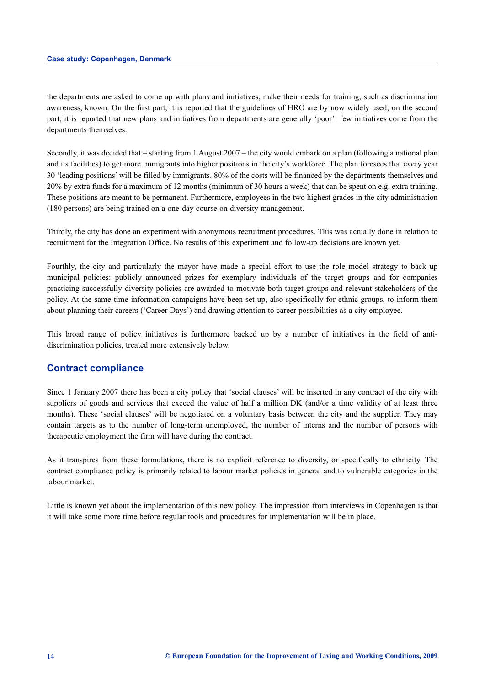the departments are asked to come up with plans and initiatives, make their needs for training, such as discrimination awareness, known. On the first part, it is reported that the guidelines of HRO are by now widely used; on the second part, it is reported that new plans and initiatives from departments are generally 'poor': few initiatives come from the departments themselves.

Secondly, it was decided that – starting from 1 August 2007 – the city would embark on a plan (following a national plan and its facilities) to get more immigrants into higher positions in the city's workforce. The plan foresees that every year 30 'leading positions' will be filled by immigrants. 80% of the costs will be financed by the departments themselves and 20% by extra funds for a maximum of 12 months (minimum of 30 hours a week) that can be spent on e.g. extra training. These positions are meant to be permanent. Furthermore, employees in the two highest grades in the city administration (180 persons) are being trained on a one-day course on diversity management.

Thirdly, the city has done an experiment with anonymous recruitment procedures. This was actually done in relation to recruitment for the Integration Office. No results of this experiment and follow-up decisions are known yet.

Fourthly, the city and particularly the mayor have made a special effort to use the role model strategy to back up municipal policies: publicly announced prizes for exemplary individuals of the target groups and for companies practicing successfully diversity policies are awarded to motivate both target groups and relevant stakeholders of the policy. At the same time information campaigns have been set up, also specifically for ethnic groups, to inform them about planning their careers ('Career Days') and drawing attention to career possibilities as a city employee.

This broad range of policy initiatives is furthermore backed up by a number of initiatives in the field of antidiscrimination policies, treated more extensively below.

#### **Contract compliance**

Since 1 January 2007 there has been a city policy that 'social clauses' will be inserted in any contract of the city with suppliers of goods and services that exceed the value of half a million DK (and/or a time validity of at least three months). These 'social clauses' will be negotiated on a voluntary basis between the city and the supplier. They may contain targets as to the number of long-term unemployed, the number of interns and the number of persons with therapeutic employment the firm will have during the contract.

As it transpires from these formulations, there is no explicit reference to diversity, or specifically to ethnicity. The contract compliance policy is primarily related to labour market policies in general and to vulnerable categories in the labour market.

Little is known yet about the implementation of this new policy. The impression from interviews in Copenhagen is that it will take some more time before regular tools and procedures for implementation will be in place.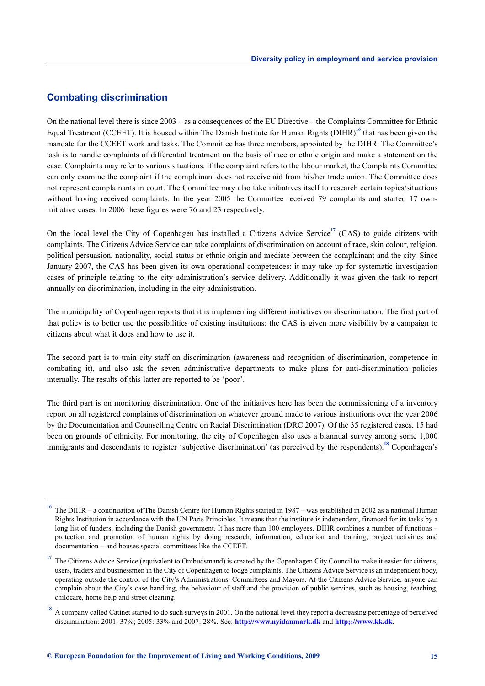# **Combating discrimination**

On the national level there is since 2003 – as a consequences of the EU Directive – the Complaints Committee for Ethnic Equal Treatment (CCEET). It is housed within The Danish Institute for Human Rights (DIHR)**<sup>16</sup>** that has been given the mandate for the CCEET work and tasks. The Committee has three members, appointed by the DIHR. The Committee's task is to handle complaints of differential treatment on the basis of race or ethnic origin and make a statement on the case. Complaints may refer to various situations. If the complaint refers to the labour market, the Complaints Committee can only examine the complaint if the complainant does not receive aid from his/her trade union. The Committee does not represent complainants in court. The Committee may also take initiatives itself to research certain topics/situations without having received complaints. In the year 2005 the Committee received 79 complaints and started 17 owninitiative cases. In 2006 these figures were 76 and 23 respectively.

On the local level the City of Copenhagen has installed a Citizens Advice Service**<sup>17</sup>** (CAS) to guide citizens with complaints. The Citizens Advice Service can take complaints of discrimination on account of race, skin colour, religion, political persuasion, nationality, social status or ethnic origin and mediate between the complainant and the city. Since January 2007, the CAS has been given its own operational competences: it may take up for systematic investigation cases of principle relating to the city administration's service delivery. Additionally it was given the task to report annually on discrimination, including in the city administration.

The municipality of Copenhagen reports that it is implementing different initiatives on discrimination. The first part of that policy is to better use the possibilities of existing institutions: the CAS is given more visibility by a campaign to citizens about what it does and how to use it.

The second part is to train city staff on discrimination (awareness and recognition of discrimination, competence in combating it), and also ask the seven administrative departments to make plans for anti-discrimination policies internally. The results of this latter are reported to be 'poor'.

The third part is on monitoring discrimination. One of the initiatives here has been the commissioning of a inventory report on all registered complaints of discrimination on whatever ground made to various institutions over the year 2006 by the Documentation and Counselling Centre on Racial Discrimination (DRC 2007). Of the 35 registered cases, 15 had been on grounds of ethnicity. For monitoring, the city of Copenhagen also uses a biannual survey among some 1,000 immigrants and descendants to register 'subjective discrimination' (as perceived by the respondents).<sup>18</sup> Copenhagen's

**<sup>16</sup>** The DIHR – a continuation of The Danish Centre for Human Rights started in 1987 – was established in 2002 as a national Human Rights Institution in accordance with the UN Paris Principles. It means that the institute is independent, financed for its tasks by a long list of funders, including the Danish government. It has more than 100 employees. DIHR combines a number of functions – protection and promotion of human rights by doing research, information, education and training, project activities and documentation – and houses special committees like the CCEET.

<sup>&</sup>lt;sup>17</sup> The Citizens Advice Service (equivalent to Ombudsmand) is created by the Copenhagen City Council to make it easier for citizens, users, traders and businessmen in the City of Copenhagen to lodge complaints. The Citizens Advice Service is an independent body, operating outside the control of the City's Administrations, Committees and Mayors. At the Citizens Advice Service, anyone can complain about the City's case handling, the behaviour of staff and the provision of public services, such as housing, teaching, childcare, home help and street cleaning.

**<sup>18</sup>** A company called Catinet started to do such surveys in 2001. On the national level they report a decreasing percentage of perceived discrimination: 2001: 37%; 2005: 33% and 2007: 28%. See: **http://www.nyidanmark.dk** and **http;://www.kk.dk**.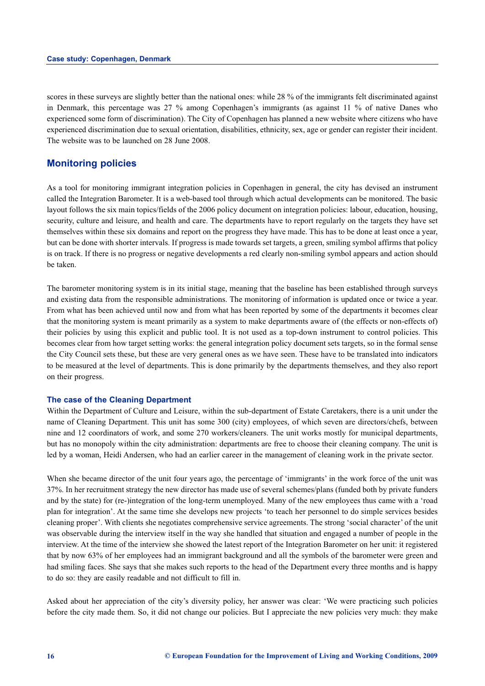scores in these surveys are slightly better than the national ones: while 28 % of the immigrants felt discriminated against in Denmark, this percentage was 27 % among Copenhagen's immigrants (as against 11 % of native Danes who experienced some form of discrimination). The City of Copenhagen has planned a new website where citizens who have experienced discrimination due to sexual orientation, disabilities, ethnicity, sex, age or gender can register their incident. The website was to be launched on 28 June 2008.

### **Monitoring policies**

As a tool for monitoring immigrant integration policies in Copenhagen in general, the city has devised an instrument called the Integration Barometer. It is a web-based tool through which actual developments can be monitored. The basic layout follows the six main topics/fields of the 2006 policy document on integration policies: labour, education, housing, security, culture and leisure, and health and care. The departments have to report regularly on the targets they have set themselves within these six domains and report on the progress they have made. This has to be done at least once a year, but can be done with shorter intervals. If progress is made towards set targets, a green, smiling symbol affirms that policy is on track. If there is no progress or negative developments a red clearly non-smiling symbol appears and action should be taken.

The barometer monitoring system is in its initial stage, meaning that the baseline has been established through surveys and existing data from the responsible administrations. The monitoring of information is updated once or twice a year. From what has been achieved until now and from what has been reported by some of the departments it becomes clear that the monitoring system is meant primarily as a system to make departments aware of (the effects or non-effects of) their policies by using this explicit and public tool. It is not used as a top-down instrument to control policies. This becomes clear from how target setting works: the general integration policy document sets targets, so in the formal sense the City Council sets these, but these are very general ones as we have seen. These have to be translated into indicators to be measured at the level of departments. This is done primarily by the departments themselves, and they also report on their progress.

#### **The case of the Cleaning Department**

Within the Department of Culture and Leisure, within the sub-department of Estate Caretakers, there is a unit under the name of Cleaning Department. This unit has some 300 (city) employees, of which seven are directors/chefs, between nine and 12 coordinators of work, and some 270 workers/cleaners. The unit works mostly for municipal departments, but has no monopoly within the city administration: departments are free to choose their cleaning company. The unit is led by a woman, Heidi Andersen, who had an earlier career in the management of cleaning work in the private sector.

When she became director of the unit four years ago, the percentage of 'immigrants' in the work force of the unit was 37%. In her recruitment strategy the new director has made use of several schemes/plans (funded both by private funders and by the state) for (re-)integration of the long-term unemployed. Many of the new employees thus came with a 'road plan for integration'. At the same time she develops new projects 'to teach her personnel to do simple services besides cleaning proper'. With clients she negotiates comprehensive service agreements. The strong 'social character' of the unit was observable during the interview itself in the way she handled that situation and engaged a number of people in the interview. At the time of the interview she showed the latest report of the Integration Barometer on her unit: it registered that by now 63% of her employees had an immigrant background and all the symbols of the barometer were green and had smiling faces. She says that she makes such reports to the head of the Department every three months and is happy to do so: they are easily readable and not difficult to fill in.

Asked about her appreciation of the city's diversity policy, her answer was clear: 'We were practicing such policies before the city made them. So, it did not change our policies. But I appreciate the new policies very much: they make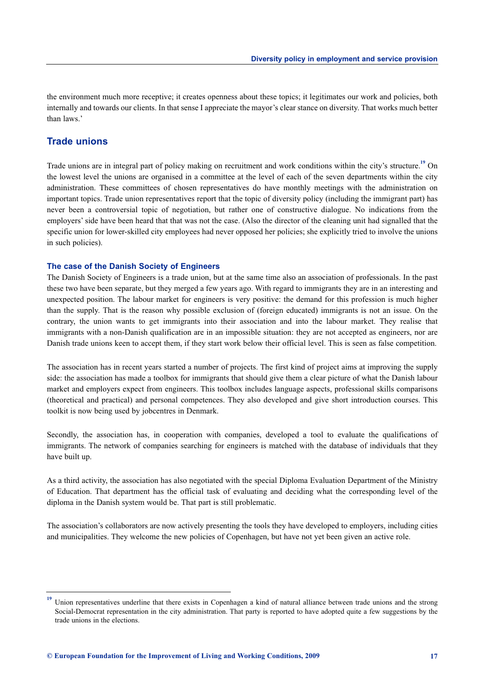the environment much more receptive; it creates openness about these topics; it legitimates our work and policies, both internally and towards our clients. In that sense I appreciate the mayor's clear stance on diversity. That works much better than laws.'

# **Trade unions**

Trade unions are in integral part of policy making on recruitment and work conditions within the city's structure.**<sup>19</sup>** On the lowest level the unions are organised in a committee at the level of each of the seven departments within the city administration. These committees of chosen representatives do have monthly meetings with the administration on important topics. Trade union representatives report that the topic of diversity policy (including the immigrant part) has never been a controversial topic of negotiation, but rather one of constructive dialogue. No indications from the employers' side have been heard that that was not the case. (Also the director of the cleaning unit had signalled that the specific union for lower-skilled city employees had never opposed her policies; she explicitly tried to involve the unions in such policies).

#### **The case of the Danish Society of Engineers**

The Danish Society of Engineers is a trade union, but at the same time also an association of professionals. In the past these two have been separate, but they merged a few years ago. With regard to immigrants they are in an interesting and unexpected position. The labour market for engineers is very positive: the demand for this profession is much higher than the supply. That is the reason why possible exclusion of (foreign educated) immigrants is not an issue. On the contrary, the union wants to get immigrants into their association and into the labour market. They realise that immigrants with a non-Danish qualification are in an impossible situation: they are not accepted as engineers, nor are Danish trade unions keen to accept them, if they start work below their official level. This is seen as false competition.

The association has in recent years started a number of projects. The first kind of project aims at improving the supply side: the association has made a toolbox for immigrants that should give them a clear picture of what the Danish labour market and employers expect from engineers. This toolbox includes language aspects, professional skills comparisons (theoretical and practical) and personal competences. They also developed and give short introduction courses. This toolkit is now being used by jobcentres in Denmark.

Secondly, the association has, in cooperation with companies, developed a tool to evaluate the qualifications of immigrants. The network of companies searching for engineers is matched with the database of individuals that they have built up.

As a third activity, the association has also negotiated with the special Diploma Evaluation Department of the Ministry of Education. That department has the official task of evaluating and deciding what the corresponding level of the diploma in the Danish system would be. That part is still problematic.

The association's collaborators are now actively presenting the tools they have developed to employers, including cities and municipalities. They welcome the new policies of Copenhagen, but have not yet been given an active role.

**<sup>19</sup>** Union representatives underline that there exists in Copenhagen a kind of natural alliance between trade unions and the strong Social-Democrat representation in the city administration. That party is reported to have adopted quite a few suggestions by the trade unions in the elections.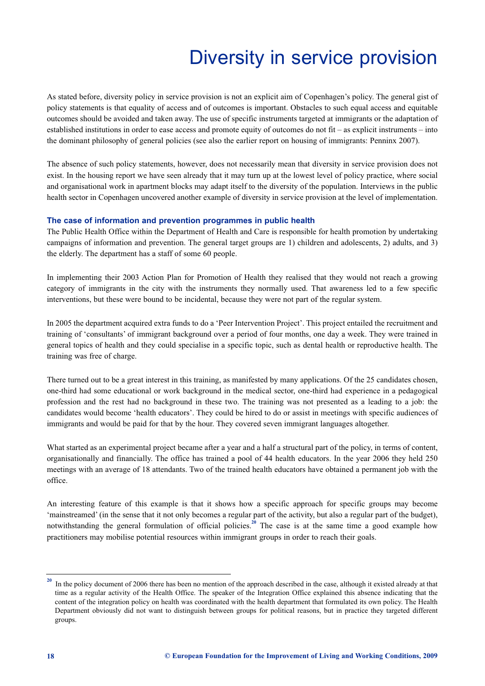# Diversity in service provision

<span id="page-20-0"></span>As stated before, diversity policy in service provision is not an explicit aim of Copenhagen's policy. The general gist of policy statements is that equality of access and of outcomes is important. Obstacles to such equal access and equitable outcomes should be avoided and taken away. The use of specific instruments targeted at immigrants or the adaptation of established institutions in order to ease access and promote equity of outcomes do not fit – as explicit instruments – into the dominant philosophy of general policies (see also the earlier report on housing of immigrants: Penninx 2007).

The absence of such policy statements, however, does not necessarily mean that diversity in service provision does not exist. In the housing report we have seen already that it may turn up at the lowest level of policy practice, where social and organisational work in apartment blocks may adapt itself to the diversity of the population. Interviews in the public health sector in Copenhagen uncovered another example of diversity in service provision at the level of implementation.

#### **The case of information and prevention programmes in public health**

The Public Health Office within the Department of Health and Care is responsible for health promotion by undertaking campaigns of information and prevention. The general target groups are 1) children and adolescents, 2) adults, and 3) the elderly. The department has a staff of some 60 people.

In implementing their 2003 Action Plan for Promotion of Health they realised that they would not reach a growing category of immigrants in the city with the instruments they normally used. That awareness led to a few specific interventions, but these were bound to be incidental, because they were not part of the regular system.

In 2005 the department acquired extra funds to do a 'Peer Intervention Project'. This project entailed the recruitment and training of 'consultants' of immigrant background over a period of four months, one day a week. They were trained in general topics of health and they could specialise in a specific topic, such as dental health or reproductive health. The training was free of charge.

There turned out to be a great interest in this training, as manifested by many applications. Of the 25 candidates chosen, one-third had some educational or work background in the medical sector, one-third had experience in a pedagogical profession and the rest had no background in these two. The training was not presented as a leading to a job: the candidates would become 'health educators'. They could be hired to do or assist in meetings with specific audiences of immigrants and would be paid for that by the hour. They covered seven immigrant languages altogether.

What started as an experimental project became after a year and a half a structural part of the policy, in terms of content, organisationally and financially. The office has trained a pool of 44 health educators. In the year 2006 they held 250 meetings with an average of 18 attendants. Two of the trained health educators have obtained a permanent job with the office.

An interesting feature of this example is that it shows how a specific approach for specific groups may become 'mainstreamed' (in the sense that it not only becomes a regular part of the activity, but also a regular part of the budget), notwithstanding the general formulation of official policies.<sup>20</sup> The case is at the same time a good example how practitioners may mobilise potential resources within immigrant groups in order to reach their goals.

**<sup>20</sup>** In the policy document of 2006 there has been no mention of the approach described in the case, although it existed already at that time as a regular activity of the Health Office. The speaker of the Integration Office explained this absence indicating that the content of the integration policy on health was coordinated with the health department that formulated its own policy. The Health Department obviously did not want to distinguish between groups for political reasons, but in practice they targeted different groups.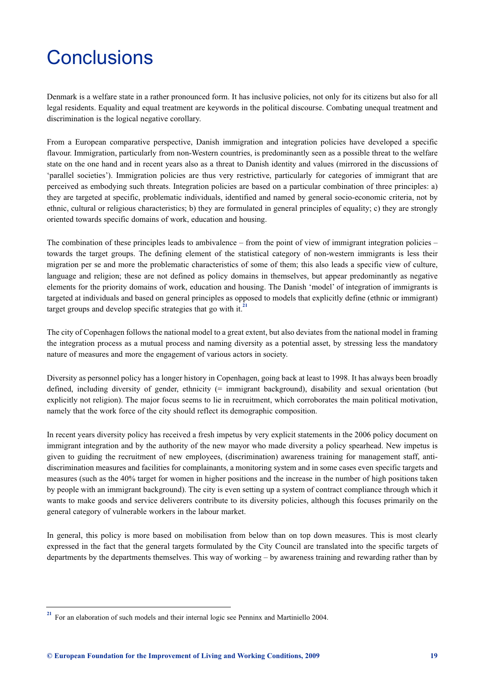# <span id="page-21-0"></span>**Conclusions**

Denmark is a welfare state in a rather pronounced form. It has inclusive policies, not only for its citizens but also for all legal residents. Equality and equal treatment are keywords in the political discourse. Combating unequal treatment and discrimination is the logical negative corollary.

From a European comparative perspective, Danish immigration and integration policies have developed a specific flavour. Immigration, particularly from non-Western countries, is predominantly seen as a possible threat to the welfare state on the one hand and in recent years also as a threat to Danish identity and values (mirrored in the discussions of 'parallel societies'). Immigration policies are thus very restrictive, particularly for categories of immigrant that are perceived as embodying such threats. Integration policies are based on a particular combination of three principles: a) they are targeted at specific, problematic individuals, identified and named by general socio-economic criteria, not by ethnic, cultural or religious characteristics; b) they are formulated in general principles of equality; c) they are strongly oriented towards specific domains of work, education and housing.

The combination of these principles leads to ambivalence – from the point of view of immigrant integration policies – towards the target groups. The defining element of the statistical category of non-western immigrants is less their migration per se and more the problematic characteristics of some of them; this also leads a specific view of culture, language and religion; these are not defined as policy domains in themselves, but appear predominantly as negative elements for the priority domains of work, education and housing. The Danish 'model' of integration of immigrants is targeted at individuals and based on general principles as opposed to models that explicitly define (ethnic or immigrant) target groups and develop specific strategies that go with it.**<sup>21</sup>**

The city of Copenhagen follows the national model to a great extent, but also deviates from the national model in framing the integration process as a mutual process and naming diversity as a potential asset, by stressing less the mandatory nature of measures and more the engagement of various actors in society.

Diversity as personnel policy has a longer history in Copenhagen, going back at least to 1998. It has always been broadly defined, including diversity of gender, ethnicity (= immigrant background), disability and sexual orientation (but explicitly not religion). The major focus seems to lie in recruitment, which corroborates the main political motivation, namely that the work force of the city should reflect its demographic composition.

In recent years diversity policy has received a fresh impetus by very explicit statements in the 2006 policy document on immigrant integration and by the authority of the new mayor who made diversity a policy spearhead. New impetus is given to guiding the recruitment of new employees, (discrimination) awareness training for management staff, antidiscrimination measures and facilities for complainants, a monitoring system and in some cases even specific targets and measures (such as the 40% target for women in higher positions and the increase in the number of high positions taken by people with an immigrant background). The city is even setting up a system of contract compliance through which it wants to make goods and service deliverers contribute to its diversity policies, although this focuses primarily on the general category of vulnerable workers in the labour market.

In general, this policy is more based on mobilisation from below than on top down measures. This is most clearly expressed in the fact that the general targets formulated by the City Council are translated into the specific targets of departments by the departments themselves. This way of working – by awareness training and rewarding rather than by

<sup>&</sup>lt;sup>21</sup> For an elaboration of such models and their internal logic see Penninx and Martiniello 2004.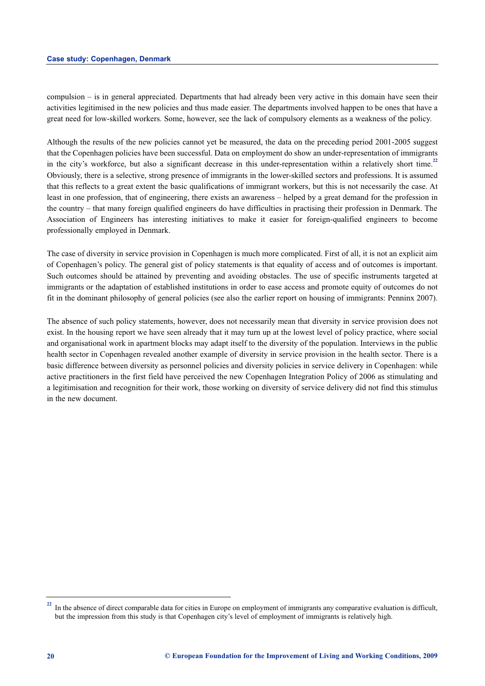compulsion – is in general appreciated. Departments that had already been very active in this domain have seen their activities legitimised in the new policies and thus made easier. The departments involved happen to be ones that have a great need for low-skilled workers. Some, however, see the lack of compulsory elements as a weakness of the policy.

Although the results of the new policies cannot yet be measured, the data on the preceding period 2001-2005 suggest that the Copenhagen policies have been successful. Data on employment do show an under-representation of immigrants in the city's workforce, but also a significant decrease in this under-representation within a relatively short time.**<sup>22</sup>** Obviously, there is a selective, strong presence of immigrants in the lower-skilled sectors and professions. It is assumed that this reflects to a great extent the basic qualifications of immigrant workers, but this is not necessarily the case. At least in one profession, that of engineering, there exists an awareness – helped by a great demand for the profession in the country – that many foreign qualified engineers do have difficulties in practising their profession in Denmark. The Association of Engineers has interesting initiatives to make it easier for foreign-qualified engineers to become professionally employed in Denmark.

The case of diversity in service provision in Copenhagen is much more complicated. First of all, it is not an explicit aim of Copenhagen's policy. The general gist of policy statements is that equality of access and of outcomes is important. Such outcomes should be attained by preventing and avoiding obstacles. The use of specific instruments targeted at immigrants or the adaptation of established institutions in order to ease access and promote equity of outcomes do not fit in the dominant philosophy of general policies (see also the earlier report on housing of immigrants: Penninx 2007).

The absence of such policy statements, however, does not necessarily mean that diversity in service provision does not exist. In the housing report we have seen already that it may turn up at the lowest level of policy practice, where social and organisational work in apartment blocks may adapt itself to the diversity of the population. Interviews in the public health sector in Copenhagen revealed another example of diversity in service provision in the health sector. There is a basic difference between diversity as personnel policies and diversity policies in service delivery in Copenhagen: while active practitioners in the first field have perceived the new Copenhagen Integration Policy of 2006 as stimulating and a legitimisation and recognition for their work, those working on diversity of service delivery did not find this stimulus in the new document.

<sup>&</sup>lt;sup>22</sup> In the absence of direct comparable data for cities in Europe on employment of immigrants any comparative evaluation is difficult, but the impression from this study is that Copenhagen city's level of employment of immigrants is relatively high.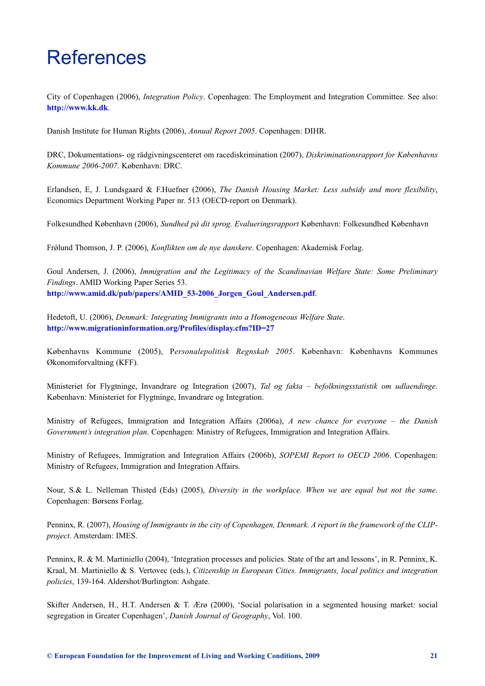# References

City of Copenhagen (2006), *Integration Policy*. Copenhagen: The Employment and Integration Committee. See also: **http://www.kk.dk**.

Danish Institute for Human Rights (2006), *Annual Report 2005*. Copenhagen: DIHR.

[DRC, Dokumentati](http://www.kk.dk)ons- og rädgivningscenteret om racediskrimination (2007), *Diskriminationsrapport for Københavns Kommune 2006-2007*. København: DRC.

Erlandsen, E, J. Lundsgaard & F.Huefner (2006), *The Danish Housing Market: Less subsidy and more flexibility*, Economics Department Working Paper nr. 513 (OECD-report on Denmark).

Folkesundhed København (2006), *Sundhed på dit sprog. Evalueringsrapport* København: Folkesundhed København

Frǿlund Thomson, J. P. (2006), *Konflikten om de nye danskere*. Copenhagen: Akademisk Forlag.

Goul Andersen, J. (2006), *Immigration and the Legitimacy of the Scandinavian Welfare State: Some Preliminary Findings*. AMID Working Paper Series 53. **http://www.amid.dk/pub/papers/AMID\_53-2006\_Jorgen\_Goul\_Andersen.pdf**.

Hedetoft, U. (2006), *Denmark: Integrating Immigrants into a Homogeneous Welfare State*. **[http://www.migrationinformation.org/Profiles/display.cfm?ID=27](http://www.amid.dk/pub/papers/AMID_53-2006_Jorgen_Goul_Andersen.pdf)**

Københavns Kommune (2005), P*ersonalepolitisk Regnskab 2005*. København: Københavns Kommunes [Økonomiforvaltning \(KFF\).](http://www.migrationinformation.org/Profiles/display.cfm?ID=27)

Ministeriet for Flygtninge, Invandrare og Integration (2007), *Tal og fakta – befolkningsstatistik om udlaendinge*. København: Ministeriet for Flygtninge, Invandrare og Integration.

Ministry of Refugees, Immigration and Integration Affairs (2006a), *A new chance for everyone – the Danish Government's integration plan*. Copenhagen: Ministry of Refugees, Immigration and Integration Affairs.

Ministry of Refugees, Immigration and Integration Affairs (2006b), *SOPEMI Report to OECD 2006*. Copenhagen: Ministry of Refugees, Immigration and Integration Affairs.

Nour, S.& L. Nelleman Thisted (Eds) (2005), *Diversity in the workplace. When we are equal but not the same*. Copenhagen: Børsens Forlag.

Penninx, R. (2007), *Housing of Immigrants in the city of Copenhagen, Denmark. A report in the framework of the CLIPproject*. Amsterdam: IMES.

Penninx, R. & M. Martiniello (2004), 'Integration processes and policies. State of the art and lessons', in R. Penninx, K. Kraal, M. Martiniello & S. Vertovec (eds.), *Citizenship in European Cities. Immigrants, local politics and integration policies*, 139-164. Aldershot/Burlington: Ashgate.

Skifter Andersen, H., H.T. Andersen & T. Ærø (2000), 'Social polarisation in a segmented housing market: social segregation in Greater Copenhagen', *Danish Journal of Geography*, Vol. 100.